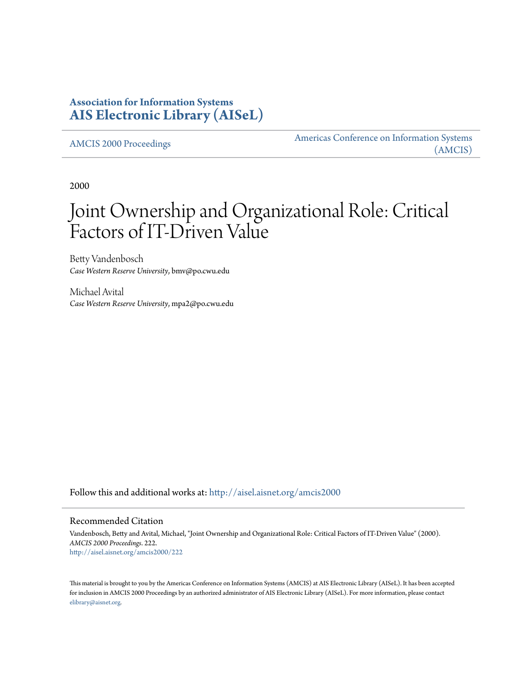# **Association for Information Systems [AIS Electronic Library \(AISeL\)](http://aisel.aisnet.org?utm_source=aisel.aisnet.org%2Famcis2000%2F222&utm_medium=PDF&utm_campaign=PDFCoverPages)**

[AMCIS 2000 Proceedings](http://aisel.aisnet.org/amcis2000?utm_source=aisel.aisnet.org%2Famcis2000%2F222&utm_medium=PDF&utm_campaign=PDFCoverPages)

[Americas Conference on Information Systems](http://aisel.aisnet.org/amcis?utm_source=aisel.aisnet.org%2Famcis2000%2F222&utm_medium=PDF&utm_campaign=PDFCoverPages) [\(AMCIS\)](http://aisel.aisnet.org/amcis?utm_source=aisel.aisnet.org%2Famcis2000%2F222&utm_medium=PDF&utm_campaign=PDFCoverPages)

2000

# Joint Ownership and Organizational Role: Critical Factors of IT-Driven Value

Betty Vandenbosch *Case Western Reserve University*, bmv@po.cwu.edu

Michael Avital *Case Western Reserve University*, mpa2@po.cwu.edu

Follow this and additional works at: [http://aisel.aisnet.org/amcis2000](http://aisel.aisnet.org/amcis2000?utm_source=aisel.aisnet.org%2Famcis2000%2F222&utm_medium=PDF&utm_campaign=PDFCoverPages)

#### Recommended Citation

Vandenbosch, Betty and Avital, Michael, "Joint Ownership and Organizational Role: Critical Factors of IT-Driven Value" (2000). *AMCIS 2000 Proceedings*. 222. [http://aisel.aisnet.org/amcis2000/222](http://aisel.aisnet.org/amcis2000/222?utm_source=aisel.aisnet.org%2Famcis2000%2F222&utm_medium=PDF&utm_campaign=PDFCoverPages)

This material is brought to you by the Americas Conference on Information Systems (AMCIS) at AIS Electronic Library (AISeL). It has been accepted for inclusion in AMCIS 2000 Proceedings by an authorized administrator of AIS Electronic Library (AISeL). For more information, please contact [elibrary@aisnet.org.](mailto:elibrary@aisnet.org%3E)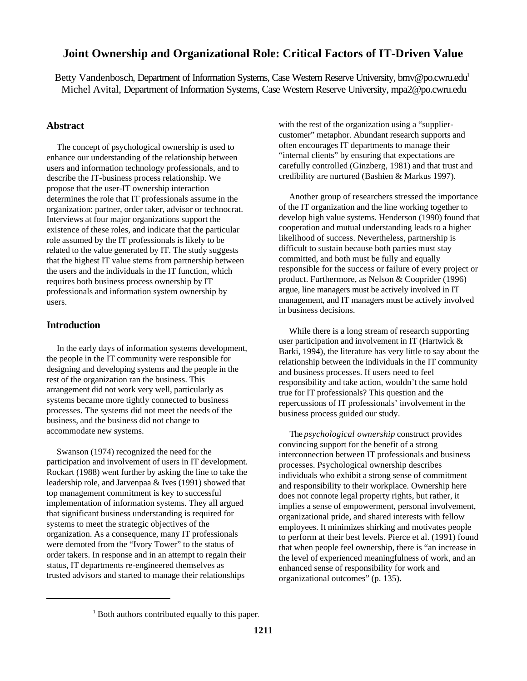## **Joint Ownership and Organizational Role: Critical Factors of IT-Driven Value**

Betty Vandenbosch, Department of Information Systems, Case Western Reserve University, bmv@po.cwru.edu<sup>1</sup> Michel Avital, Department of Information Systems, Case Western Reserve University, mpa2@po.cwru.edu

## **Abstract**

 The concept of psychological ownership is used to enhance our understanding of the relationship between users and information technology professionals, and to describe the IT-business process relationship. We propose that the user-IT ownership interaction determines the role that IT professionals assume in the organization: partner, order taker, advisor or technocrat. Interviews at four major organizations support the existence of these roles, and indicate that the particular role assumed by the IT professionals is likely to be related to the value generated by IT. The study suggests that the highest IT value stems from partnership between the users and the individuals in the IT function, which requires both business process ownership by IT professionals and information system ownership by users.

## **Introduction**

 In the early days of information systems development, the people in the IT community were responsible for designing and developing systems and the people in the rest of the organization ran the business. This arrangement did not work very well, particularly as systems became more tightly connected to business processes. The systems did not meet the needs of the business, and the business did not change to accommodate new systems.

 Swanson (1974) recognized the need for the participation and involvement of users in IT development. Rockart (1988) went further by asking the line to take the leadership role, and Jarvenpaa & Ives (1991) showed that top management commitment is key to successful implementation of information systems. They all argued that significant business understanding is required for systems to meet the strategic objectives of the organization. As a consequence, many IT professionals were demoted from the "Ivory Tower" to the status of order takers. In response and in an attempt to regain their status, IT departments re-engineered themselves as trusted advisors and started to manage their relationships

with the rest of the organization using a "suppliercustomer" metaphor. Abundant research supports and often encourages IT departments to manage their "internal clients" by ensuring that expectations are carefully controlled (Ginzberg, 1981) and that trust and credibility are nurtured (Bashien & Markus 1997).

 Another group of researchers stressed the importance of the IT organization and the line working together to develop high value systems. Henderson (1990) found that cooperation and mutual understanding leads to a higher likelihood of success. Nevertheless, partnership is difficult to sustain because both parties must stay committed, and both must be fully and equally responsible for the success or failure of every project or product. Furthermore, as Nelson & Cooprider (1996) argue, line managers must be actively involved in IT management, and IT managers must be actively involved in business decisions.

 While there is a long stream of research supporting user participation and involvement in IT (Hartwick & Barki, 1994), the literature has very little to say about the relationship between the individuals in the IT community and business processes. If users need to feel responsibility and take action, wouldn't the same hold true for IT professionals? This question and the repercussions of IT professionals' involvement in the business process guided our study.

 The *psychological ownership* construct provides convincing support for the benefit of a strong interconnection between IT professionals and business processes. Psychological ownership describes individuals who exhibit a strong sense of commitment and responsibility to their workplace. Ownership here does not connote legal property rights, but rather, it implies a sense of empowerment, personal involvement, organizational pride, and shared interests with fellow employees. It minimizes shirking and motivates people to perform at their best levels. Pierce et al. (1991) found that when people feel ownership, there is "an increase in the level of experienced meaningfulness of work, and an enhanced sense of responsibility for work and organizational outcomes" (p. 135).

<sup>&</sup>lt;sup>1</sup> Both authors contributed equally to this paper.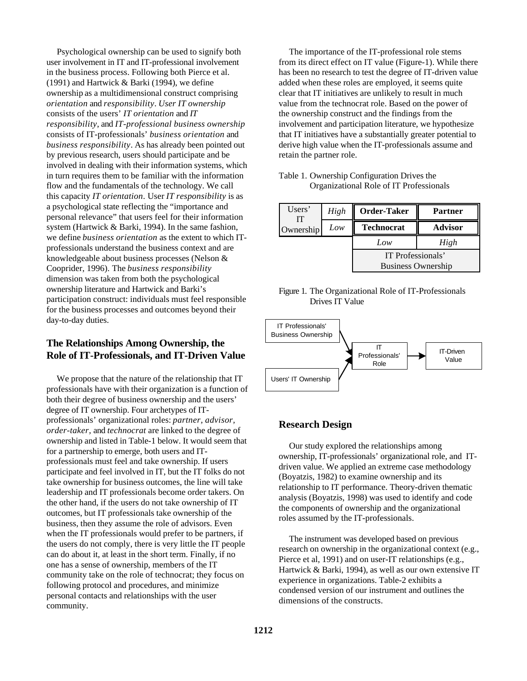Psychological ownership can be used to signify both user involvement in IT and IT-professional involvement in the business process. Following both Pierce et al. (1991) and Hartwick & Barki (1994), we define ownership as a multidimensional construct comprising *orientation* and *responsibility*. *User IT ownership* consists of the users' *IT orientation* and *IT responsibility*, and *IT-professional business ownership* consists of IT-professionals' *business orientation* and *business responsibility*. As has already been pointed out by previous research, users should participate and be involved in dealing with their information systems, which in turn requires them to be familiar with the information flow and the fundamentals of the technology. We call this capacity *IT orientation*. User *IT responsibility* is as a psychological state reflecting the "importance and personal relevance" that users feel for their information system (Hartwick & Barki, 1994). In the same fashion, we define *business orientation* as the extent to which ITprofessionals understand the business context and are knowledgeable about business processes (Nelson & Cooprider, 1996). The *business responsibility* dimension was taken from both the psychological ownership literature and Hartwick and Barki's participation construct: individuals must feel responsible for the business processes and outcomes beyond their day-to-day duties.

## **The Relationships Among Ownership, the Role of IT-Professionals, and IT-Driven Value**

 We propose that the nature of the relationship that IT professionals have with their organization is a function of both their degree of business ownership and the users' degree of IT ownership. Four archetypes of ITprofessionals' organizational roles: *partner, advisor, order-taker,* and *technocrat* are linked to the degree of ownership and listed in Table-1 below. It would seem that for a partnership to emerge, both users and ITprofessionals must feel and take ownership. If users participate and feel involved in IT, but the IT folks do not take ownership for business outcomes, the line will take leadership and IT professionals become order takers. On the other hand, if the users do not take ownership of IT outcomes, but IT professionals take ownership of the business, then they assume the role of advisors. Even when the IT professionals would prefer to be partners, if the users do not comply, there is very little the IT people can do about it, at least in the short term. Finally, if no one has a sense of ownership, members of the IT community take on the role of technocrat; they focus on following protocol and procedures, and minimize personal contacts and relationships with the user community.

 The importance of the IT-professional role stems from its direct effect on IT value (Figure-1). While there has been no research to test the degree of IT-driven value added when these roles are employed, it seems quite clear that IT initiatives are unlikely to result in much value from the technocrat role. Based on the power of the ownership construct and the findings from the involvement and participation literature, we hypothesize that IT initiatives have a substantially greater potential to derive high value when the IT-professionals assume and retain the partner role.

| Table 1. Ownership Configuration Drives the |
|---------------------------------------------|
| Organizational Role of IT Professionals     |

| Users'<br>IТ | High | Order-Taker       | Partner                                        |  |  |  |  |  |
|--------------|------|-------------------|------------------------------------------------|--|--|--|--|--|
| Ownership    | Low  | <b>Technocrat</b> | <b>Advisor</b>                                 |  |  |  |  |  |
|              |      | Low               | High                                           |  |  |  |  |  |
|              |      |                   | IT Professionals'<br><b>Business Ownership</b> |  |  |  |  |  |





## **Research Design**

 Our study explored the relationships among ownership, IT-professionals' organizational role, and ITdriven value. We applied an extreme case methodology (Boyatzis, 1982) to examine ownership and its relationship to IT performance. Theory-driven thematic analysis (Boyatzis, 1998) was used to identify and code the components of ownership and the organizational roles assumed by the IT-professionals.

 The instrument was developed based on previous research on ownership in the organizational context (e.g., Pierce et al, 1991) and on user-IT relationships (e.g., Hartwick & Barki, 1994), as well as our own extensive IT experience in organizations. Table-2 exhibits a condensed version of our instrument and outlines the dimensions of the constructs.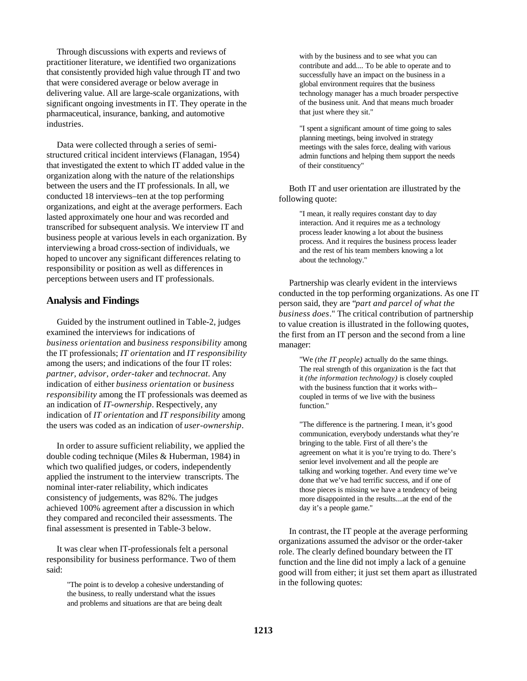Through discussions with experts and reviews of practitioner literature, we identified two organizations that consistently provided high value through IT and two that were considered average or below average in delivering value. All are large-scale organizations, with significant ongoing investments in IT. They operate in the pharmaceutical, insurance, banking, and automotive industries.

 Data were collected through a series of semistructured critical incident interviews (Flanagan, 1954) that investigated the extent to which IT added value in the organization along with the nature of the relationships between the users and the IT professionals. In all, we conducted 18 interviews–ten at the top performing organizations, and eight at the average performers. Each lasted approximately one hour and was recorded and transcribed for subsequent analysis. We interview IT and business people at various levels in each organization. By interviewing a broad cross-section of individuals, we hoped to uncover any significant differences relating to responsibility or position as well as differences in perceptions between users and IT professionals.

#### **Analysis and Findings**

 Guided by the instrument outlined in Table-2, judges examined the interviews for indications of *business orientation* and *business responsibility* among the IT professionals; *IT orientation* and *IT responsibility* among the users; and indications of the four IT roles: *partner, advisor, order-taker* and *technocrat*. Any indication of either *business orientation* or *business responsibility* among the IT professionals was deemed as an indication of *IT-ownership*. Respectively, any indication of *IT orientation* and *IT responsibility* among the users was coded as an indication of *user-ownership*.

 In order to assure sufficient reliability, we applied the double coding technique (Miles & Huberman, 1984) in which two qualified judges, or coders, independently applied the instrument to the interview transcripts. The nominal inter-rater reliability, which indicates consistency of judgements, was 82%. The judges achieved 100% agreement after a discussion in which they compared and reconciled their assessments. The final assessment is presented in Table-3 below.

 It was clear when IT-professionals felt a personal responsibility for business performance. Two of them said:

> "The point is to develop a cohesive understanding of the business, to really understand what the issues and problems and situations are that are being dealt

with by the business and to see what you can contribute and add.... To be able to operate and to successfully have an impact on the business in a global environment requires that the business technology manager has a much broader perspective of the business unit. And that means much broader that just where they sit."

"I spent a significant amount of time going to sales planning meetings, being involved in strategy meetings with the sales force, dealing with various admin functions and helping them support the needs of their constituency"

 Both IT and user orientation are illustrated by the following quote:

> "I mean, it really requires constant day to day interaction. And it requires me as a technology process leader knowing a lot about the business process. And it requires the business process leader and the rest of his team members knowing a lot about the technology."

 Partnership was clearly evident in the interviews conducted in the top performing organizations. As one IT person said, they are "*part and parcel of what the business does*." The critical contribution of partnership to value creation is illustrated in the following quotes, the first from an IT person and the second from a line manager:

> "We *(the IT people)* actually do the same things. The real strength of this organization is the fact that it *(the information technology)* is closely coupled with the business function that it works with- coupled in terms of we live with the business function."

"The difference is the partnering. I mean, it's good communication, everybody understands what they're bringing to the table. First of all there's the agreement on what it is you're trying to do. There's senior level involvement and all the people are talking and working together. And every time we've done that we've had terrific success, and if one of those pieces is missing we have a tendency of being more disappointed in the results....at the end of the day it's a people game."

 In contrast, the IT people at the average performing organizations assumed the advisor or the order-taker role. The clearly defined boundary between the IT function and the line did not imply a lack of a genuine good will from either; it just set them apart as illustrated in the following quotes: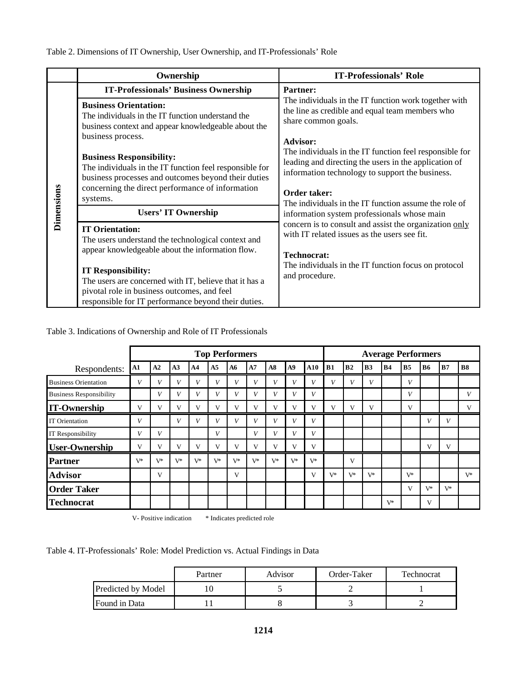|            | Ownership                                                                                                                                                                                                                                                                                                                     | <b>IT-Professionals' Role</b>                                                                                                                                                                                                                                                                                  |  |  |  |  |  |
|------------|-------------------------------------------------------------------------------------------------------------------------------------------------------------------------------------------------------------------------------------------------------------------------------------------------------------------------------|----------------------------------------------------------------------------------------------------------------------------------------------------------------------------------------------------------------------------------------------------------------------------------------------------------------|--|--|--|--|--|
|            | <b>IT-Professionals' Business Ownership</b>                                                                                                                                                                                                                                                                                   | <b>Partner:</b><br>The individuals in the IT function work together with<br>the line as credible and equal team members who<br>share common goals.                                                                                                                                                             |  |  |  |  |  |
| Dimensions | <b>Business Orientation:</b><br>The individuals in the IT function understand the<br>business context and appear knowledgeable about the                                                                                                                                                                                      |                                                                                                                                                                                                                                                                                                                |  |  |  |  |  |
|            | business process.<br><b>Business Responsibility:</b><br>The individuals in the IT function feel responsible for<br>business processes and outcomes beyond their duties<br>concerning the direct performance of information<br>systems.                                                                                        | <b>Advisor:</b><br>The individuals in the IT function feel responsible for<br>leading and directing the users in the application of<br>information technology to support the business.<br>Order taker:                                                                                                         |  |  |  |  |  |
|            | <b>Users' IT Ownership</b>                                                                                                                                                                                                                                                                                                    | The individuals in the IT function assume the role of<br>information system professionals whose main<br>concern is to consult and assist the organization only<br>with IT related issues as the users see fit.<br><b>Technocrat:</b><br>The individuals in the IT function focus on protocol<br>and procedure. |  |  |  |  |  |
|            | <b>IT Orientation:</b><br>The users understand the technological context and<br>appear knowledgeable about the information flow.<br><b>IT Responsibility:</b><br>The users are concerned with IT, believe that it has a<br>pivotal role in business outcomes, and feel<br>responsible for IT performance beyond their duties. |                                                                                                                                                                                                                                                                                                                |  |  |  |  |  |

Table 3. Indications of Ownership and Role of IT Professionals

|                                | <b>Top Performers</b> |              |                |                |                |       |              |       |                |       | <b>Average Performers</b> |              |                |                |                |           |       |           |  |
|--------------------------------|-----------------------|--------------|----------------|----------------|----------------|-------|--------------|-------|----------------|-------|---------------------------|--------------|----------------|----------------|----------------|-----------|-------|-----------|--|
| Respondents:                   | ${\bf A1}$            | A2           | A <sub>3</sub> | A <sub>4</sub> | A <sub>5</sub> | A6    | A7           | A8    | A9             | A10   | B1                        | B2           | B <sub>3</sub> | B <sub>4</sub> | B <sub>5</sub> | <b>B6</b> | B7    | <b>B8</b> |  |
| <b>Business Orientation</b>    | V                     | V            | $\overline{V}$ | V              | V              | V     | V            | V     | $\mathbf{V}$   | V     | V                         | $\mathbf{U}$ | V              |                | V              |           |       |           |  |
| <b>Business Responsibility</b> |                       | V            | T 7            | V              | V              | V     | V            | V     | $\mathbf{r}$   | V     |                           |              |                |                | V              |           |       | V         |  |
| <b>IT-Ownership</b>            | V                     | v            | $\mathbf{V}$   | V              | V              | V     | V            | V     | V              | V     | V                         | V            | V              |                | V              |           |       | V         |  |
| <b>IT</b> Orientation          | V                     |              | V              | V              | V              | V     | V            | V     | V              | V     |                           |              |                |                |                | V         | V     |           |  |
| IT Responsibility              | V                     | V            |                |                | V              |       | V            | V     | $\overline{V}$ | V     |                           |              |                |                |                |           |       |           |  |
| <b>User-Ownership</b>          | V                     | $\mathbf{V}$ | V              | v              | V              | V     | $\mathbf{V}$ | V     | V              | V     |                           |              |                |                |                | V         | V     |           |  |
| <b>Partner</b>                 | $V^*$                 | $V^*$        | $V^*$          | $V^*$          | $V^*$          | $V^*$ | $V^*$        | $V^*$ | V*             | $V^*$ |                           | V            |                |                |                |           |       |           |  |
| <b>Advisor</b>                 |                       | V            |                |                |                | V     |              |       |                | V     | $V^*$                     | $V^*$        | $V^*$          |                | $V^*$          |           |       | $V^*$     |  |
| <b>Order Taker</b>             |                       |              |                |                |                |       |              |       |                |       |                           |              |                |                | V              | $V^*$     | $V^*$ |           |  |
| <b>Technocrat</b>              |                       |              |                |                |                |       |              |       |                |       |                           |              |                | $V^*$          |                | V         |       |           |  |

V- Positive indication \* Indicates predicted role

Table 4. IT-Professionals' Role: Model Prediction vs. Actual Findings in Data

|                    | Partner | Advisor | Order-Taker | Technocrat |  |  |
|--------------------|---------|---------|-------------|------------|--|--|
| Predicted by Model |         |         |             |            |  |  |
| Found in Data      |         |         |             |            |  |  |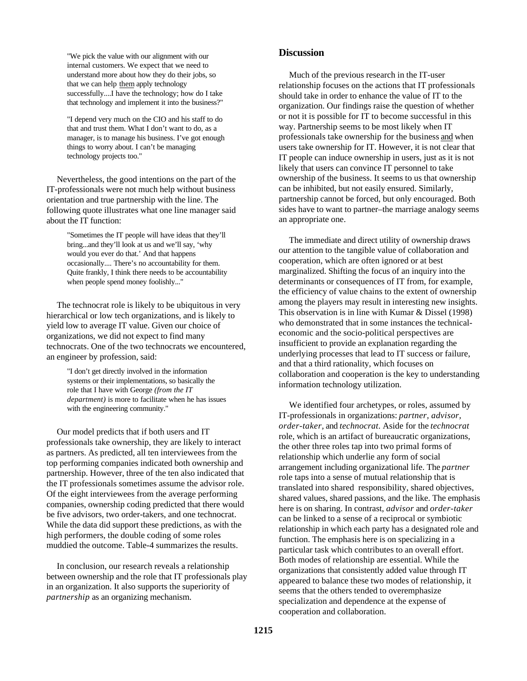"We pick the value with our alignment with our internal customers. We expect that we need to understand more about how they do their jobs, so that we can help them apply technology successfully....I have the technology; how do I take that technology and implement it into the business?"

"I depend very much on the CIO and his staff to do that and trust them. What I don't want to do, as a manager, is to manage his business. I've got enough things to worry about. I can't be managing technology projects too."

 Nevertheless, the good intentions on the part of the IT-professionals were not much help without business orientation and true partnership with the line. The following quote illustrates what one line manager said about the IT function:

> "Sometimes the IT people will have ideas that they'll bring...and they'll look at us and we'll say, 'why would you ever do that.' And that happens occasionally.... There's no accountability for them. Quite frankly, I think there needs to be accountability when people spend money foolishly..."

 The technocrat role is likely to be ubiquitous in very hierarchical or low tech organizations, and is likely to yield low to average IT value. Given our choice of organizations, we did not expect to find many technocrats. One of the two technocrats we encountered, an engineer by profession, said:

> "I don't get directly involved in the information systems or their implementations, so basically the role that I have with George *(from the IT department)* is more to facilitate when he has issues with the engineering community."

 Our model predicts that if both users and IT professionals take ownership, they are likely to interact as partners. As predicted, all ten interviewees from the top performing companies indicated both ownership and partnership. However, three of the ten also indicated that the IT professionals sometimes assume the advisor role. Of the eight interviewees from the average performing companies, ownership coding predicted that there would be five advisors, two order-takers, and one technocrat. While the data did support these predictions, as with the high performers, the double coding of some roles muddied the outcome. Table-4 summarizes the results.

 In conclusion, our research reveals a relationship between ownership and the role that IT professionals play in an organization. It also supports the superiority of *partnership* as an organizing mechanism.

## **Discussion**

 Much of the previous research in the IT-user relationship focuses on the actions that IT professionals should take in order to enhance the value of IT to the organization. Our findings raise the question of whether or not it is possible for IT to become successful in this way. Partnership seems to be most likely when IT professionals take ownership for the business and when users take ownership for IT. However, it is not clear that IT people can induce ownership in users, just as it is not likely that users can convince IT personnel to take ownership of the business. It seems to us that ownership can be inhibited, but not easily ensured. Similarly, partnership cannot be forced, but only encouraged. Both sides have to want to partner–the marriage analogy seems an appropriate one.

 The immediate and direct utility of ownership draws our attention to the tangible value of collaboration and cooperation, which are often ignored or at best marginalized. Shifting the focus of an inquiry into the determinants or consequences of IT from, for example, the efficiency of value chains to the extent of ownership among the players may result in interesting new insights. This observation is in line with Kumar & Dissel (1998) who demonstrated that in some instances the technicaleconomic and the socio-political perspectives are insufficient to provide an explanation regarding the underlying processes that lead to IT success or failure, and that a third rationality, which focuses on collaboration and cooperation is the key to understanding information technology utilization.

 We identified four archetypes, or roles, assumed by IT-professionals in organizations: *partner, advisor, order-taker,* and *technocrat*. Aside for the *technocrat* role, which is an artifact of bureaucratic organizations, the other three roles tap into two primal forms of relationship which underlie any form of social arrangement including organizational life. The *partner* role taps into a sense of mutual relationship that is translated into shared responsibility, shared objectives, shared values, shared passions, and the like. The emphasis here is on sharing. In contrast, *advisor* and *order-taker* can be linked to a sense of a reciprocal or symbiotic relationship in which each party has a designated role and function. The emphasis here is on specializing in a particular task which contributes to an overall effort. Both modes of relationship are essential. While the organizations that consistently added value through IT appeared to balance these two modes of relationship, it seems that the others tended to overemphasize specialization and dependence at the expense of cooperation and collaboration.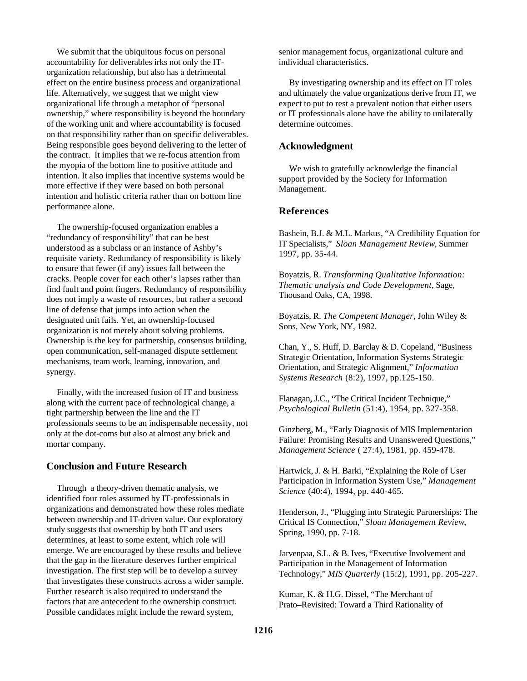We submit that the ubiquitous focus on personal accountability for deliverables irks not only the ITorganization relationship, but also has a detrimental effect on the entire business process and organizational life. Alternatively, we suggest that we might view organizational life through a metaphor of "personal ownership," where responsibility is beyond the boundary of the working unit and where accountability is focused on that responsibility rather than on specific deliverables. Being responsible goes beyond delivering to the letter of the contract. It implies that we re-focus attention from the myopia of the bottom line to positive attitude and intention. It also implies that incentive systems would be more effective if they were based on both personal intention and holistic criteria rather than on bottom line performance alone.

 The ownership-focused organization enables a "redundancy of responsibility" that can be best understood as a subclass or an instance of Ashby's requisite variety. Redundancy of responsibility is likely to ensure that fewer (if any) issues fall between the cracks. People cover for each other's lapses rather than find fault and point fingers. Redundancy of responsibility does not imply a waste of resources, but rather a second line of defense that jumps into action when the designated unit fails. Yet, an ownership-focused organization is not merely about solving problems. Ownership is the key for partnership, consensus building, open communication, self-managed dispute settlement mechanisms, team work, learning, innovation, and synergy.

 Finally, with the increased fusion of IT and business along with the current pace of technological change, a tight partnership between the line and the IT professionals seems to be an indispensable necessity, not only at the dot-coms but also at almost any brick and mortar company.

## **Conclusion and Future Research**

 Through a theory-driven thematic analysis, we identified four roles assumed by IT-professionals in organizations and demonstrated how these roles mediate between ownership and IT-driven value. Our exploratory study suggests that ownership by both IT and users determines, at least to some extent, which role will emerge. We are encouraged by these results and believe that the gap in the literature deserves further empirical investigation. The first step will be to develop a survey that investigates these constructs across a wider sample. Further research is also required to understand the factors that are antecedent to the ownership construct. Possible candidates might include the reward system,

senior management focus, organizational culture and individual characteristics.

 By investigating ownership and its effect on IT roles and ultimately the value organizations derive from IT, we expect to put to rest a prevalent notion that either users or IT professionals alone have the ability to unilaterally determine outcomes.

### **Acknowledgment**

 We wish to gratefully acknowledge the financial support provided by the Society for Information Management.

### **References**

Bashein, B.J. & M.L. Markus, "A Credibility Equation for IT Specialists," *Sloan Management Review*, Summer 1997, pp. 35-44.

Boyatzis, R. *Transforming Qualitative Information: Thematic analysis and Code Development*, Sage, Thousand Oaks, CA, 1998.

Boyatzis, R. *The Competent Manager*, John Wiley & Sons, New York, NY, 1982.

Chan, Y., S. Huff, D. Barclay & D. Copeland, "Business Strategic Orientation, Information Systems Strategic Orientation, and Strategic Alignment," *Information Systems Research* (8:2), 1997, pp.125-150.

Flanagan, J.C., "The Critical Incident Technique," *Psychological Bulletin* (51:4), 1954, pp. 327-358.

Ginzberg, M., "Early Diagnosis of MIS Implementation Failure: Promising Results and Unanswered Questions," *Management Science* ( 27:4), 1981, pp. 459-478.

Hartwick, J. & H. Barki, "Explaining the Role of User Participation in Information System Use," *Management Science* (40:4), 1994, pp. 440-465.

Henderson, J., "Plugging into Strategic Partnerships: The Critical IS Connection," *Sloan Management Review*, Spring, 1990, pp. 7-18.

Jarvenpaa, S.L. & B. Ives, "Executive Involvement and Participation in the Management of Information Technology," *MIS Quarterly* (15:2), 1991, pp. 205-227.

Kumar, K. & H.G. Dissel, "The Merchant of Prato–Revisited: Toward a Third Rationality of